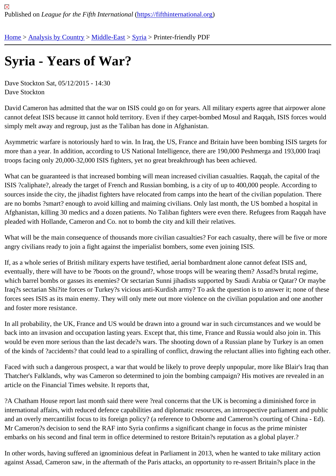## [Syr](https://fifthinternational.org/)i[a - Years](https://fifthinternational.org/category/1) [of War](https://fifthinternational.org/category/1/178)[?](https://fifthinternational.org/category/1/178/196)

Dave Stockton Sat, 05/12/2015 - 14:30 Dave Stockton

David Cameron has admitted that the war on ISIS could go on for years. All military experts agree that airpower al cannot defeat ISIS because itt cannot hold territory. Even if they carpet-bombed Mosul and Raqqah, ISIS forces w simply melt away and regroup, just as the Taliban has done in Afghanistan.

Asymmetric warfare is notoriously hard to win. In Iraq, the US, France and Britain have been bombing ISIS targets more than a year. In addition, according to US National Intelligence, there are 190,000 Peshmerga and 193,000 Ir troops facing only 20,000-32,000 ISIS fighters, yet no great breakthrough has been achieved.

What can be guaranteed is that increased bombing will mean increased civilian casualties. Raqqah, the capital of ISIS ?caliphate?, already the target of French and Russian bombing, is a city of up to 400,000 people. According t sources inside the city, the jihadist fighters have relocated from camps into the heart of the civilian population. The are no bombs ?smart? enough to avoid killing and maiming civilians. Only last month, the US bombed a hospital in Afghanistan, killing 30 medics and a dozen patients. No Taliban fighters were even there. Refugees from Raqqah pleaded with Hollande, Cameron and Co. not to bomb the city and kill their relatives.

What will be the main consequence of thousands more civilian casualties? For each casualty, there will be five or angry civilians ready to join a fight against the imperialist bombers, some even joining ISIS.

If, as a whole series of British military experts have testified, aerial bombardment alone cannot defeat ISIS and, eventually, there will have to be ?boots on the ground?, whose troops will be wearing them? Assad?s brutal regim which barrel bombs or gasses its enemies? Or sectarian Sunni jihadists supported by Saudi Arabia or Qatar? Or n Iraq?s sectarian Shi?ite forces or Turkey?s vicious anti-Kurdish army? To ask the question is to answer it; none of forces sees ISIS as its main enemy. They will only mete out more violence on the civilian population and one anot and foster more resistance.

In all probability, the UK, France and US would be drawn into a ground war in such circumstances and we would b back into an invasion and occupation lasting years. Except that, this time, France and Russia would also join in. Tl would be even more serious than the last decade?s wars. The shooting down of a Russian plane by Turkey is an o of the kinds of ?accidents? that could lead to a spiralling of conflict, drawing the reluctant allies into fighting each o

Faced with such a dangerous prospect, a war that would be likely to prove deeply unpopular, more like Blair's Iraq Thatcher's Falklands, why was Cameron so determined to join the bombing campaign? His motives are revealed i article on the Financial Times website. It reports that,

?A Chatham House report last month said there were ?real concerns that the UK is becoming a diminished force in international affairs, with reduced defence capabilities and diplomatic resources, an introspective parliament and p and an overly mercantilist focus to its foreign policy? (a reference to Osborne and Cameron?s courting of China - I Mr Cameron?s decision to send the RAF into Syria confirms a significant change in focus as the prime minister embarks on his second and final term in office determined to restore Britain?s reputation as a global player.?

In other words, having suffered an ignominious defeat in Parliament in 2013, when he wanted to take military actio against Assad, Cameron saw, in the aftermath of the Paris attacks, an opportunity to re-assert Britain?s place in th